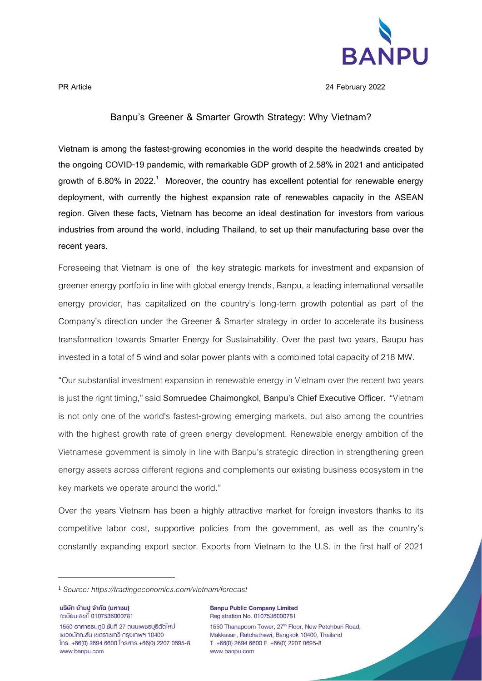

**PR Article 24 February 2022**

## **Banpu's Greener & Smarter Growth Strategy: Why Vietnam?**

**Vietnam is among the fastest-growing economies in the world despite the headwinds created by the ongoing COVID-19 pandemic, with remarkable GDP growth of 2.58% in 2021 and anticipated growth of 6.80% in 2022. <sup>1</sup> Moreover, the country has excellent potential for renewable energy deployment, with currently the highest expansion rate of renewables capacity in the ASEAN region. Given these facts, Vietnam has become an ideal destination for investors from various industries from around the world, including Thailand, to set up their manufacturing base over the recent years.**

Foreseeing that Vietnam is one of the key strategic markets for investment and expansion of greener energy portfolio in line with global energy trends, Banpu, a leading international versatile energy provider, has capitalized on the country's long-term growth potential as part of the Company's direction under the Greener & Smarter strategy in order to accelerate its business transformation towards Smarter Energy for Sustainability. Over the past two years, Baupu has invested in a total of 5 wind and solar power plants with a combined total capacity of 218 MW.

"Our substantial investment expansion in renewable energy in Vietnam over the recent two years is just the right timing," said **Somruedee Chaimongkol, Banpu's Chief Executive Officer**. "Vietnam is not only one of the world's fastest-growing emerging markets, but also among the countries with the highest growth rate of green energy development. Renewable energy ambition of the Vietnamese government is simply in line with Banpu's strategic direction in strengthening green energy assets across different regions and complements our existing business ecosystem in the key markets we operate around the world."

Over the years Vietnam has been a highly attractive market for foreign investors thanks to its competitive labor cost, supportive policies from the government, as well as the country's constantly expanding export sector. Exports from Vietnam to the U.S. in the first half of 2021

บริษัท บ้านปู จำกัด (มหาชน) n:เบียนเลขที่ 0107536000781

1550 อาคารธนกมิ ชั้นที่ 27 ถนนเพชรบรีตัดใหม่ แขวงมักกะสัน เขตราชเทวี กรงเทพฯ 10400  $[ns. +66(0) 2694 6600$   $[nsans +66(0) 2207 0695-8]$ www.banpu.com

**Banpu Public Company Limited** Registration No. 0107536000781 1550 Thanapoom Tower, 27<sup>th</sup> Floor, New Petchburi Road,

Makkasan, Ratchathewi, Bangkok 10400, Thailand T. +66(0) 2694 6600 F. +66(0) 2207 0695-8 www.banpu.com

<sup>1</sup> *Source: https://tradingeconomics.com/vietnam/forecast*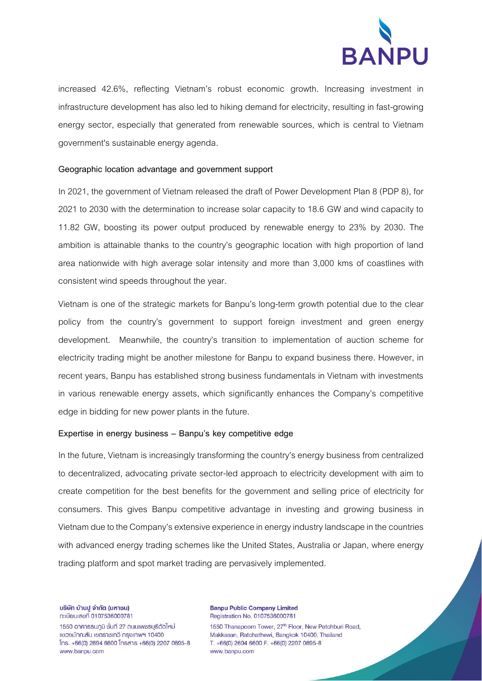

increased 42.6%, reflecting Vietnam's robust economic growth. Increasing investment in infrastructure development has also led to hiking demand for electricity, resulting in fast-growing energy sector, especially that generated from renewable sources, which is central to Vietnam government's sustainable energy agenda.

## **Geographic location advantage and government support**

In 2021, the government of Vietnam released the draft of Power Development Plan 8 (PDP 8), for 2021 to 2030 with the determination to increase solar capacity to 18.6 GW and wind capacity to 11.82 GW, boosting its power output produced by renewable energy to 23% by 2030. The ambition is attainable thanks to the country's geographic location with high proportion of land area nationwide with high average solar intensity and more than 3,000 kms of coastlines with consistent wind speeds throughout the year.

Vietnam is one of the strategic markets for Banpu's long-term growth potential due to the clear policy from the country's government to support foreign investment and green energy development. Meanwhile, the country's transition to implementation of auction scheme for electricity trading might be another milestone for Banpu to expand business there. However, in recent years, Banpu has established strong business fundamentals in Vietnam with investments in various renewable energy assets, which significantly enhances the Company's competitive edge in bidding for new power plants in the future.

## **Expertise in energy business – Banpu's key competitive edge**

In the future, Vietnam is increasingly transforming the country's energy business from centralized to decentralized, advocating private sector-led approach to electricity development with aim to create competition for the best benefits for the government and selling price of electricity for consumers. This gives Banpu competitive advantage in investing and growing business in Vietnam due to the Company's extensive experience in energy industry landscape in the countries with advanced energy trading schemes like the United States, Australia or Japan, where energy trading platform and spot market trading are pervasively implemented.

บริษัท บ้านปู จำกัด (มหาชน) n:เบียนเลขที่ 0107536000781

1550 อาคารธนภมิ ชั้นที่ 27 ถนนเพชรบรีตัดใหม่ แขวงมักกะสัน เขตราชเทวี กรงเทพฯ 10400  $[ns. +66(0) 2694 6600]$  insans  $+66(0) 2207 0695-8$ www.banpu.com

**Banpu Public Company Limited** Registration No. 0107536000781

1550 Thanapoom Tower, 27th Floor, New Petchburi Road, Makkasan, Ratchathewi, Bangkok 10400, Thailand T. +66(0) 2694 6600 F. +66(0) 2207 0695-8 www.banpu.com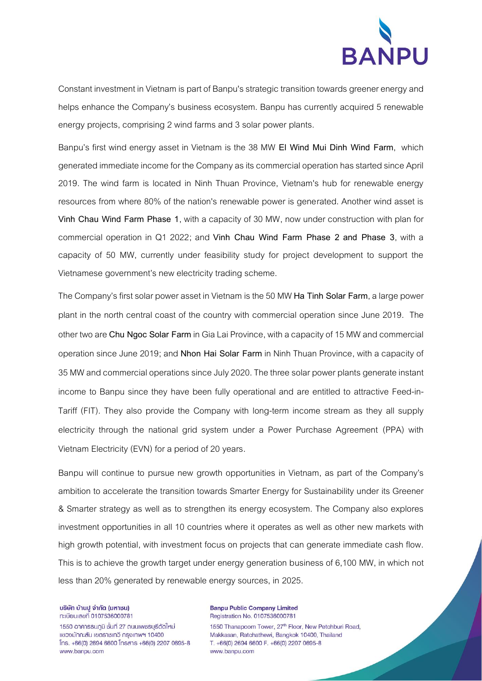

Constant investment in Vietnam is part of Banpu's strategic transition towards greener energy and helps enhance the Company's business ecosystem. Banpu has currently acquired 5 renewable energy projects, comprising 2 wind farms and 3 solar power plants.

Banpu's first wind energy asset in Vietnam is the 38 MW **El Wind Mui Dinh Wind Farm**, which generated immediate income for the Companyas its commercial operationhasstarted since April 2019. The wind farm is located in Ninh Thuan Province, Vietnam's hub for renewable energy resources from where 80% of the nation's renewable power is generated. Another wind asset is **Vinh Chau Wind Farm Phase 1**, with a capacity of 30 MW, now under construction with plan for commercial operation in Q1 2022; and **Vinh Chau Wind Farm Phase 2 and Phase 3**, with a capacity of 50 MW, currently under feasibility study for project development to support the Vietnamese government's new electricity trading scheme.

The Company's first solar power asset in Vietnam isthe 50 MW **Ha Tinh Solar Farm**, a large power plant in the north central coast of the country with commercial operation since June 2019. The other two are **Chu Ngoc Solar Farm** in Gia Lai Province, with a capacity of 15 MW and commercial operation since June 2019; and **Nhon Hai Solar Farm** in Ninh Thuan Province, with a capacity of 35 MW and commercial operations since July 2020. The three solar power plants generate instant income to Banpu since they have been fully operational and are entitled to attractive Feed-in-Tariff (FIT). They also provide the Company with long-term income stream as they all supply electricity through the national grid system under a Power Purchase Agreement (PPA) with Vietnam Electricity (EVN) for a period of 20 years.

Banpu will continue to pursue new growth opportunities in Vietnam, as part of the Company's ambition to accelerate the transition towards Smarter Energy for Sustainability under its Greener & Smarter strategy as well as to strengthen its energy ecosystem. The Company also explores investment opportunities in all 10 countries where it operates as well as other new markets with high growth potential, with investment focus on projects that can generate immediate cash flow. This is to achieve the growth target under energy generation business of 6,100 MW, in which not less than 20% generated by renewable energy sources, in 2025.

บริษัท บ้านปู จำกัด (มหาชน) n:เบียนเลขที่ 0107536000781

1550 อาคารธนภมิ ชั้นที่ 27 ถนนเพชรบรีตัดใหม่ แขวงมักกะสัน เขตราชเทวี กรงเทพฯ 10400  $[ns. +66(0) 2694 6600]$  insans  $+66(0) 2207 0695-8$ www.banpu.com

**Banpu Public Company Limited** Registration No. 0107536000781

1550 Thanapoom Tower, 27th Floor, New Petchburi Road, Makkasan, Ratchathewi, Bangkok 10400, Thailand T. +66(0) 2694 6600 F. +66(0) 2207 0695-8 www.banpu.com